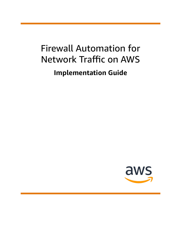# Firewall Automation for Network Traffic on AWS **Implementation Guide**

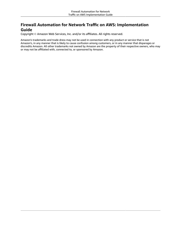### **Firewall Automation for Network Traffic on AWS: Implementation Guide**

Copyright © Amazon Web Services, Inc. and/or its affiliates. All rights reserved.

Amazon's trademarks and trade dress may not be used in connection with any product or service that is not Amazon's, in any manner that is likely to cause confusion among customers, or in any manner that disparages or discredits Amazon. All other trademarks not owned by Amazon are the property of their respective owners, who may or may not be affiliated with, connected to, or sponsored by Amazon.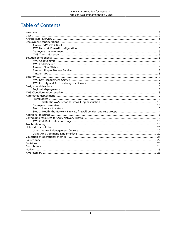### **Table of Contents**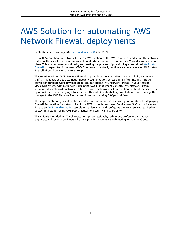# <span id="page-3-0"></span>AWS Solution for automating AWS Network Firewall deployments

Publication date:*February 2021 [\(last update](#page-25-0) (p. [23\)](#page-25-0): April 2021)*

Firewall Automation for Network Traffic on AWS configures the AWS resources needed to filter network traffic. With this solution, you can inspect hundreds or thousands of Amazon VPCs and accounts in one place. This solution saves you time by automating the process of provisioning a centralized AWS [Network](http://aws.amazon.com/network-firewall/) [Firewall](http://aws.amazon.com/network-firewall/) to inspect traffic between VPCs. You can also centrally configure and manage your AWS Network Firewall, firewall policies, and rule groups.

This solution utilizes AWS Network Firewall to provide granular visibility and control of your network traffic. This allows you to accomplish network segmentation, egress domain filtering, and intrusion prevention through event-driven logging. You can enable AWS Network Firewall in your Amazon VPC environments with just a few clicks in the AWS Management Console. AWS Network Firewall automatically scales with network traffic to provide high availability protections without the need to set up or maintain the underlying infrastructure. This solution also helps you collaborate and manage the changes to the AWS Network Firewall configuration by using GitOps workflow.

This implementation guide describes architectural considerations and configuration steps for deploying Firewall Automation for Network Traffic on AWS in the Amazon Web Services (AWS) Cloud. It includes links to an AWS [CloudFormation](http://aws.amazon.com/cloudformation/) template that launches and configures the AWS services required to deploy this solution using AWS best practices for security and availability.

This guide is intended for IT architects, DevOps professionals, technology professionals, network engineers, and security engineers who have practical experience architecting in the AWS Cloud.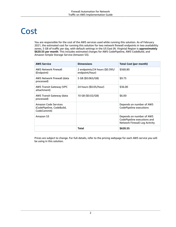# <span id="page-4-0"></span>Cost

You are responsible for the cost of the AWS services used while running this solution. As of February 2021, the estimated cost for running this solution for two network firewall endpoints in two availability zones, 5 GB of traffic per day, with default settings in the US East (N. Virginia) Region is **approximately \$620.55 per month**. This includes estimated charges for AWS CodePipeline, AWS CodeBuild, and Amazon Simple Storage Service (Amazon S3).

| <b>AWS Service</b>                                               | <b>Dimensions</b>                                | <b>Total Cost (per month)</b>                                                            |
|------------------------------------------------------------------|--------------------------------------------------|------------------------------------------------------------------------------------------|
| <b>AWS Network Firewall</b><br>(Endpoint)                        | 2 endpoints/24 hours (\$0.395/<br>endpoint/hour) | \$568.80                                                                                 |
| AWS Network Firewall (data<br>processed)                         | 5 GB (\$0.065/GB)                                | \$9.75                                                                                   |
| <b>AWS Transit Gateway (VPC</b><br>attachment)                   | 24 hours (\$0.05/hour)                           | \$36.00                                                                                  |
| AWS Transit Gateway (data<br>processed)                          | 10 GB (\$0.02/GB)                                | \$6.00                                                                                   |
| Amazon Code Services<br>(CodePipeline, CodeBuild,<br>CodeCommit) |                                                  | Depends on number of AWS<br>CodePipeline executions                                      |
| Amazon S3                                                        |                                                  | Depends on number of AWS<br>CodePipeline executions and<br>Network Firewall Log Activity |
|                                                                  | Total                                            | \$620.55                                                                                 |

Prices are subject to change. For full details, refer to the pricing webpage for each AWS service you will be using in this solution.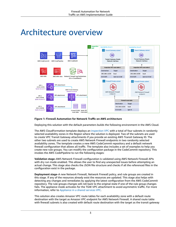## <span id="page-5-0"></span>Architecture overview



### **Figure 1: Firewall Automation for Network Traffic on AWS architecture**

Deploying this solution with the default parameters builds the following environment in the AWS Cloud.

The AWS CloudFormation template deploys an [inspection](http://aws.amazon.com/blogs/networking-and-content-delivery/deployment-models-for-aws-network-firewall/) VPC with a total of four subnets in randomly selected availability zones in the Region where the solution is deployed. Two of the subnets are used to create VPC Transit Gateway attachments if you provide an existing AWS Transit Gateway ID. The other two subnets are used to create AWS Network Firewall endpoints in two randomly selected availability zones. The template creates a new AWS CodeCommit repository and a default network firewall configuration that allows all traffic. The template also includes a set of examples to help you create new rule groups. You can modify the configuration package in the CodeCommit repository. This invokes the AWS CodePipeline to run the following stages:

**Validation stage**–AWS Network Firewall configuration is validated using AWS Network Firewall APIs with dry run mode enabled. This allows the user to find any unexpected issues before attempting an actual change. This stage also checks the JSON file structure and checks if all the referenced files in the configuration exist in the package.

**Deployment stage**–A new Network Firewall, Network Firewall policy, and rule groups are created in this stage. If any of the resources already exist the resources are updated. This stage also helps with detecting any changes and remediates by applying the latest configuration from the AWS CodeCommit repository. The rule groups changes will roll back to the original state if one of the rule group changes fails. The appliance mode activates for the TGW-VPC attachment to avoid asymmetric traffic. For more information, refer to [Appliance](https://docs.aws.amazon.com/vpc/latest/tgw/transit-gateway-appliance-scenario.html) in a shared services VPC.

This solution also creates Amazon VPC route tables for each availability zone with a default route destination with the target as Amazon VPC endpoint for AWS Network Firewall. A shared route table with firewall subnets is also created with default route destination with the target as the transit gateway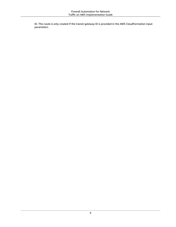ID. This route is only created if the transit gateway ID is provided in the AWS CloudFormation input parameters.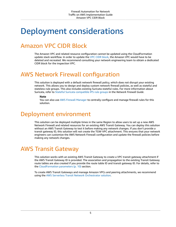# <span id="page-7-0"></span>Deployment considerations

## <span id="page-7-1"></span>Amazon VPC CIDR Block

The Amazon VPC and related resource configuration cannot be updated using the CloudFormation update stack workflow. In order to update the [VPC CIDR block,](https://docs.aws.amazon.com/vpc/latest/userguide/VPC_Subnets.html) the Amazon VPC would have to be deleted and recreated. We recommend consulting your network engineering team to obtain a dedicated CIDR block for the inspection VPC.

### <span id="page-7-2"></span>AWS Network Firewall configuration

This solution is deployed with a default network firewall policy, which does not disrupt your existing network. This allows you to design and deploy custom network firewall policies, as well as stateful and stateless rule groups. This also includes existing Suricata stateful rules. For more information about Suricata, refer to Stateful Suricata [compatible](https://docs.aws.amazon.com/network-firewall/latest/developerguide/stateful-rule-groups-ips.html) IPS rule groups in the *Network Firewall Guide*.

### **Note**

You can also use AWS Firewall [Manager](http://aws.amazon.com/firewall-manager/) to centrally configure and manage firewall rules for this solution.

### <span id="page-7-3"></span>Deployment environment

This solution can be deployed multiple times in the same Region to allow users to set up a new AWS Network Firewall and related resources for an existing AWS Transit Gateway. You can deploy this solution without an AWS Transit Gateway to test it before making any network changes. If you don't provide a transit gateway ID, this solution will not create the TGW-VPC attachment. This ensures that your network engineers can customize the AWS Network Firewall configuration and update the firewall policies before making any network changes.

### <span id="page-7-4"></span>AWS Transit Gateway

This solution works with an existing AWS Transit Gateway to create a VPC transit gateway attachment if the AWS Transit Gateway ID is provided. The association and propagation to the existing Transit Gateway route tables are also created if you provide the route table ID and transit gateway ID. For details, refer to the [CloudFormation](#page-12-4) parameter[s \(p. 10\)](#page-12-4) section.

To create AWS Transit Gateways and manage Amazon VPCs and peering attachments, we recommend using the AWS Serverless Transit Network [Orchestrator](http://aws.amazon.com/solutions/implementations/serverless-transit-network-orchestrator/) solution.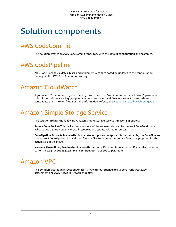## <span id="page-8-0"></span>Solution components

## <span id="page-8-1"></span>AWS CodeCommit

This solution creates an AWS CodeCommit repository with the default configuration and examples.

## <span id="page-8-2"></span>AWS CodePipeline

AWS CodePipeline validates, tests, and implements changes based on updates to the configuration package in the AWS CodeCommit repository.

### <span id="page-8-3"></span>Amazon CloudWatch

If you select CloudWatchLogs for the Log Destination for the Network Firewall parameter, this solution will create a log group for your logs. Your alert and flow logs collect log records and consolidate them into log files. For more information, refer to the Network Firewall [developer](https://docs.aws.amazon.com/network-firewall/latest/developerguide/what-is-aws-network-firewall.html) guide.

### <span id="page-8-4"></span>Amazon Simple Storage Service

The solution creates the following Amazon Simple Storage Service (Amazon S3) buckets:

**Source Code Bucket**–This bucket hosts versions of the source code used by the AWS CodeBuild stage to validate and deploy Network Firewall resources and update related resources.

**CodePipeline Artifacts Bucket**–This bucket stores input and output artifacts created by the CodePipeline stages. AWS CodePipeline zips and transfers the files for input or output artifacts as appropriate for the action type in the stage.

**Network Firewall Log Destination Bucket**–This Amazon S3 bucket is only created if you select Amazon S3 for the Log Destination for the Network Firewall parameter.

## <span id="page-8-5"></span>Amazon VPC

This solution creates an inspection Amazon VPC with four subnets to support Transit Gateway attachment and AWS Network Firewall endpoints.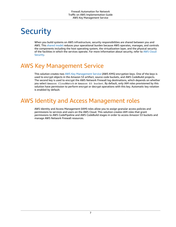# <span id="page-9-0"></span>**Security**

When you build systems on AWS infrastructure, security responsibilities are shared between you and AWS. This [shared](https://docs.aws.amazon.com/whitepapers/latest/aws-overview-security-processes/shared-security-responsibility-model.html) model reduces your operational burden because AWS operates, manages, and controls the components including the host operating system, the virtualization layer, and the physical security of the facilities in which the services operate. For more information about security, refer to AWS [Cloud](http://aws.amazon.com/security/) [Security.](http://aws.amazon.com/security/)

## <span id="page-9-1"></span>AWS Key Management Service

This solution creates two AWS Key [Management](http://aws.amazon.com/kms/) Service (AWS KMS) encryption keys. One of the keys is used to encrypt objects in the Amazon S3 artifact, source code buckets, and AWS CodeBuild projects. The second key is used to encrypt the AWS Network Firewall log destinations, which depends on whether you select Amazon CloudWatch or Amazon S3 bucket. By default, only IAM roles provisioned by this solution have permission to perform encrypt or decrypt operations with this key. Automatic key rotation is enabled by default.

### <span id="page-9-2"></span>AWS Identity and Access Management roles

AWS Identity and Access Management (IAM) roles allow you to assign granular access policies and permissions to services and users on the AWS Cloud. This solution creates IAM roles that grant permissions to AWS CodePipeline and AWS CodeBuild stages in order to access Amazon S3 buckets and manage AWS Network Firewall resources.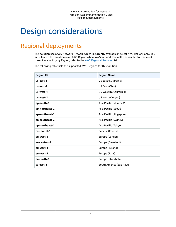# <span id="page-10-0"></span>Design considerations

### <span id="page-10-1"></span>Regional deployments

This solution uses AWS Network Firewall, which is currently available in select AWS Regions only. You must launch this solution in an AWS Region where AWS Network Firewall is available. For the most current availability by Region, refer to the AWS [Regional](http://aws.amazon.com/about-aws/global-infrastructure/regional-product-services/) Services List.

The following table lists the supported AWS Regions for this solution.

| <b>Region ID</b> | <b>Region Name</b>        |
|------------------|---------------------------|
| us-east-1        | US East (N. Virginia)     |
| us-east-2        | US East (Ohio)            |
| us-west-1        | US West (N. California)   |
| us-west-2        | US West (Oregon)          |
| ap-south-1       | Asia Pacific (Mumbai)*    |
| ap-northeast-2   | Asia Pacific (Seoul)      |
| ap-southeast-1   | Asia Pacific (Singapore)  |
| ap-southeast-2   | Asia Pacific (Sydney)     |
| ap-northeast-1   | Asia Pacific (Tokyo)      |
| ca-central-1     | Canada (Central)          |
| eu-west-2        | Europe (London)           |
| eu-central-1     | Europe (Frankfurt)        |
| eu-west-1        | Europe (Ireland)          |
| eu-west-3        | Europe (Paris)            |
| eu-north-1       | Europe (Stockholm)        |
| sa-east-1        | South America (São Paulo) |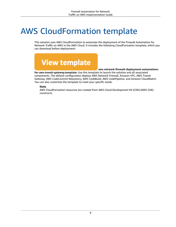# <span id="page-11-0"></span>AWS CloudFormation template

This solution uses AWS CloudFormation to automate the deployment of the Firewall Automation for Network Traffic on AWS in the AWS Cloud. It includes the following CloudFormation template, which you can download before deployment:



#### **aws-network-firewall-deployment-automations-**

**for-aws-transit-gateway.template:** Use this template to launch the solution and all associated components. The default configuration deploys AWS Network Firewall, Amazon VPC, AWS Transit Gateway, AWS CodeCommit Repository, AWS CodeBuild, AWS CodePipeline, and Amazon CloudWatch. You can also customize the template to meet your specific needs.

### **Note**

AWS CloudFormation resources are created from AWS Cloud Development Kit (CDK) (AWS CDK) constructs.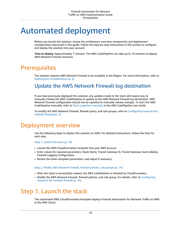## <span id="page-12-0"></span>Automated deployment

Before you launch the solution, review the architecture overview, components and deployment considerations discussed in this guide. Follow the step-by-step instructions in this section to configure and deploy the solution into your account.

**Time to deploy:** Approximately 7 minutes. The AWS CodePipeline can take up to 10 minutes to deploy AWS Network Firewall resources.

### <span id="page-12-1"></span>**Prerequisites**

The solution requires AWS Network Firewall to be available in the Region. For more information, refer to Deployment [considerations \(p. 5\).](#page-7-0)

### <span id="page-12-2"></span>Update the AWS Network Firewall log destination

If you have previously deployed this solution, any updates made to the stack will require you to manually initiate the AWS CodePipeline to update to the AWS Network Firewall log destination. AWS Network Firewall configuration should not be updated to manually release changes. To start the AWS CodePipeline manually, refer to Start a pipeline [manually](https://docs.aws.amazon.com/codepipeline/latest/userguide/pipelines-rerun-manually.html) in the *AWS CodePipeline User Guide*.

To modify the AWS Network Firewall, firewall policy, and rule groups, refer to [Configuring](#page-5-0) resources for [network](#page-5-0) firewal[l \(p. 3\).](#page-5-0)

### <span id="page-12-3"></span>Deployment overview

Use the following steps to deploy this solution on AWS. For detailed instructions, follow the links for each step.

[Step 1. Launch the stack \(p. 10\)](#page-12-4)

- Launch the AWS CloudFormation template into your AWS account.
- Enter values for required parameters: Stack Name, Transit Gateway ID, Transit Gateway route table(s), Firewall Logging Configuration,
- Review the other template parameters, and adjust if necessary.

Step 2. Modify AWS [Network](#page-16-0) Firewall, firewall policies, rule groups [\(p. 14\)](#page-16-0)

- After the stack is successfully created, the AWS CodePipeline is initiated by CloudFormation.
- Modify the AWS Network Firewall, firewall policies, and rule group. For details, refer to [Configuring](#page-18-0) [resources](#page-18-0) for network firewal[l \(p. 16\)](#page-18-0).

### <span id="page-12-4"></span>Step 1. Launch the stack

This automated AWS CloudFormation template deploys Firewall Automation for Network Traffic on AWS in the AWS Cloud.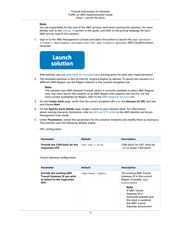### **Note**

You are responsible for the cost of the AWS services used while running this solution. For more details, visit to the [Cost \(p. 2\)](#page-4-0) section in this guide, and refer to the pricing webpage for each AWS service used in this solution.

1. Sign in to the AWS Management Console and select the button to launch the aws-networkfirewall-deployment-automations-for-aws-transit-gateway AWS CloudFormation template.



Alternatively, you can [download](https://solutions-reference.s3.amazonaws.com/aws-network-firewall-deployment-automations-for-aws-transit-gateway/latest/aws-network-firewall-deployment-automations-for-aws-transit-gateway.template) the template as a starting point for your own implementation.

2. The template launches in the US East (N. Virginia) Region by default. To launch the solution in a different AWS Region, use the Region selector in the console navigation bar.

#### **Note**

This solution uses AWS Network Firewall, which is currently available in select AWS Regions only. You must launch this solution in an AWS Region that supports this service. For the most current availability by Region, refer to the AWS [Regional](http://aws.amazon.com/about-aws/global-infrastructure/regional-product-services/) Services List.

- 3. On the **Create stack** page, verify that the correct template URL is in the **Amazon S3 URL** text box and choose **Next**.
- 4. On the **Specify stack details** page, assign a name to your solution stack. For information about naming character limitations, refer to [IAM and STS Limits](https://docs.aws.amazon.com/IAM/latest/UserGuide/reference_iam-limits.html) in the *AWS Identity and Access Management User Guide*.
- 5. Under **Parameters**, review the parameters for this solution template and modify them as necessary. This solution uses the following default values:

VPC configuration

| <b>Parameter</b>                                       | <b>Default</b> | <b>Description</b>                                       |
|--------------------------------------------------------|----------------|----------------------------------------------------------|
| <b>Provide the CIDR bock for the</b><br>inspection VPC | 192.168.1.0/26 | CIDR block for VPC. Must be<br>/26 or larger CIDR block. |

Transit Gateway configuration

| <b>Parameter</b>                                                                                            | <b>Default</b>                 | <b>Description</b>                                                                                                                                                                                                                             |
|-------------------------------------------------------------------------------------------------------------|--------------------------------|------------------------------------------------------------------------------------------------------------------------------------------------------------------------------------------------------------------------------------------------|
| <b>Provide the existing AWS</b><br>Transit Gateway ID you wish<br>to attach to the Inspection<br><b>VPC</b> | <optional input=""></optional> | The existing AWS Transit<br>Gateway ID in the current<br>Region. Example: tqw-<br>alb2c3d4e5<br><b>Note</b><br><b>If AWS Transit</b><br>Gateway ID is<br>removed/updated and<br>the stack is updated,<br>the AWS Transit<br>Gateway Attachment |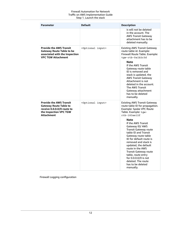| <b>Parameter</b>                                                                                                                             | <b>Default</b>                 | <b>Description</b>                                                                                                                                                                                                                                                                                                                                                                                                                                                                                                        |
|----------------------------------------------------------------------------------------------------------------------------------------------|--------------------------------|---------------------------------------------------------------------------------------------------------------------------------------------------------------------------------------------------------------------------------------------------------------------------------------------------------------------------------------------------------------------------------------------------------------------------------------------------------------------------------------------------------------------------|
|                                                                                                                                              |                                | is will not be deleted<br>in the account. The<br><b>AWS Transit Gateway</b><br>attachment has to be<br>deleted manually.                                                                                                                                                                                                                                                                                                                                                                                                  |
| <b>Provide the AWS Transit</b><br><b>Gateway Route Table to be</b><br>associated with the Inspection<br><b>VPC TGW Attachment</b>            | <optional input=""></optional> | <b>Existing AWS Transit Gateway</b><br>route table id. Example:<br>Firewall Route Table. Example:<br>tgw-rtb-0a1b2c3d<br><b>Note</b><br>If the AWS Transit<br>Gateway route table<br>ID is removed and<br>stack is updated, the<br><b>AWS Transit Gateway</b><br>Attachment is not<br>deleted in the account.<br>The AWS Transit<br>Gateway attachment<br>has to be deleted<br>manually.                                                                                                                                  |
| <b>Provide the AWS Transit</b><br><b>Gateway Route Table to</b><br>receive 0.0.0.0/0 route to<br>the Inspection VPC TGW<br><b>Attachment</b> | <optional input=""></optional> | <b>Existing AWS Transit Gateway</b><br>route table ID for propagation.<br>Example: Spoke VPC Route<br>Table. Example: tgw-<br>$r$ tb-183ae12f<br><b>Note</b><br>If the AWS Transit<br>Gateway ID/ AWS<br><b>Transit Gateway route</b><br>table ID and Transit<br>Gateway route table<br>ID for default route is<br>removed and stack is<br>updated, the default<br>route in the AWS<br><b>Transit Gateway route</b><br>table, route entry<br>for 0.0.0.0/0 is not<br>deleted. The route<br>has to be deleted<br>manually. |

Firewall Logging configuration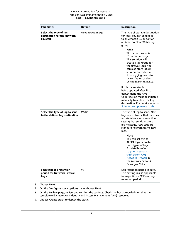| <b>Parameter</b>                                                         | <b>Default</b> | <b>Description</b>                                                                                                                                                                                                                                                                                                                                                                                                                                                                                                                                                                                                |
|--------------------------------------------------------------------------|----------------|-------------------------------------------------------------------------------------------------------------------------------------------------------------------------------------------------------------------------------------------------------------------------------------------------------------------------------------------------------------------------------------------------------------------------------------------------------------------------------------------------------------------------------------------------------------------------------------------------------------------|
| Select the type of log<br>destination for the Network<br><b>Firewall</b> | CloudWatchLogs | The type of storage destination<br>for logs. You can send logs<br>to an Amazon S3 bucket or<br>an Amazon CloudWatch log<br>group.<br><b>Note</b><br>The default value is<br>CloudWatchLogs.<br>This solution will<br>create a log group for<br>the firewall logs. You<br>can also store logs in<br>an Amazon S3 bucket.<br>If no logging needs to<br>be configured, select<br>ConfigureManually.<br>If this parameter is<br>being updated after first<br>deployment, the AWS<br>CodePipeline must be initiated<br>manually to update the log<br>destination. For details, refer to<br>Solution components (p. 6). |
| Select the type of log to send<br>to the defined log destination         | <b>FLOW</b>    | The type of log to send. Alert<br>logs report traffic that matches<br>a stateful rule with an action<br>setting that sends an alert<br>log message. Flow logs are<br>standard network traffic flow<br>logs.<br><b>Note</b><br>You can set this to<br>ALERT logs or enable<br>both types of logs.<br>For details, refer to<br>Logging network<br>traffic from AWS<br><b>Network Firewall in</b><br>the Network Firewall<br>Developer Guide.                                                                                                                                                                        |
| Select the log retention<br>period for Network Firewall<br>Logs          | 90             | Log retention period in days.<br>This setting is also applicable<br>to Inspection VPC Flow Logs<br>retention period.                                                                                                                                                                                                                                                                                                                                                                                                                                                                                              |

- 6. Choose **Next**.
- 7. On the **Configure stack options** page, choose **Next**.
- 8. On the **Review** page, review and confirm the settings. Check the box acknowledging that the template will create AWS Identity and Access Management (IAM) resources.
- 9. Choose **Create stack** to deploy the stack.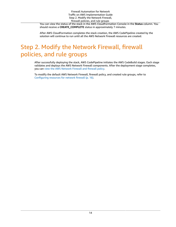Firewall Automation for Network Traffic on AWS Implementation Guide Step 2. Modify the Network Firewall, firewall policies, and rule groups

You can view the status of the stack in the AWS CloudFormation Console in the **Status** column. You should receive a **CREATE\_COMPLETE** status in approximately 7 minutes.

After AWS CloudFormation completes the stack creation, the AWS CodePipeline created by the solution will continue to run until all the AWS Network Firewall resources are created.

### <span id="page-16-0"></span>Step 2. Modify the Network Firewall, firewall policies, and rule groups

After successfully deploying the stack, AWS CodePipeline initiates the AWS CodeBuild stages. Each stage validates and deploys the AWS Network Firewall components. After the deployment stage completes, you can view the AWS [Network](https://console.aws.amazon.com/vpc/home?#NetworkFirewalls:) Firewall and firewall policy.

To modify the default AWS Network Firewall, firewall policy, and created rule groups, refer to [Configuring](#page-18-0) resources for network firewall [\(p. 16\).](#page-18-0)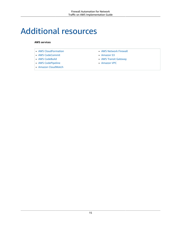# <span id="page-17-0"></span>Additional resources

### **AWS services**

| • AWS Network Firewall |
|------------------------|
| • Amazon $S3$          |
| • AWS Transit Gateway  |
| • Amazon VPC           |
|                        |
|                        |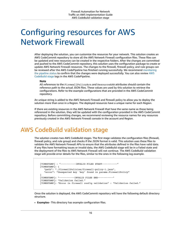# <span id="page-18-0"></span>Configuring resources for AWS Network Firewall

After deploying the solution, you can customize the resources for your network. This solution creates an AWS CodeCommit repository to store all the AWS Network Firewall configuration files. These files can be updated and new resources can be created in the respective folders. After the changes are committed and pushed to the AWS CodeCommit repository, this solution uses the configuration package to create or update AWS Network Firewall resources. The changes to the firewall, firewall policy, and rule groups can be reviewed after the AWS CodePipeline has finished running successfully. We recommend [monitoring](https://docs.aws.amazon.com/codepipeline/latest/userguide/pipelines-view-console.html) [the pipeline status](https://docs.aws.amazon.com/codepipeline/latest/userguide/pipelines-view-console.html) to confirm that the changes were deployed successfully. You can also review [AWS](https://docs.aws.amazon.com/codebuild/latest/userguide/view-project-details.html) [CodeBuild stage](https://docs.aws.amazon.com/codebuild/latest/userguide/view-project-details.html) logs in the AWS CodePipeline.

#### **Note**

All references to the FirewallPolicyArn and ResourceARN attributes should contain the reference path to the actual JSON files. These values are used by this solution to retrieve the configurations. Refer to the example configurations that are provided in the AWS CodeCommit repository.

An unique string is added to the AWS Network Firewall and firewall policy to allow you to deploy the solution more than once in a Region. The deployed resources have a unique name for each Region.

If there are existing resources in the AWS Network Firewall that have the same name as those being referenced in the solution, they will be updated with the configuration provided in the AWS CodeCommit repository. Before committing changes, we recommend reviewing the resource names for any resources previously created in the AWS Network Firewall console in the account and Region.

### <span id="page-18-1"></span>AWS CodeBuild validation stage

The solution creates two AWS CodeBuild stages. The first stage validates the configuration files (firewall, firewall policy, and rule group) and checks if the JSON format is valid. This solution uses these files to validate the AWS Network Firewall APIs to ensure that the attributes defined in the files have valid data. If any files have formatting issues or invalid data, the AWS CodeBuild stage will be in a Failed state and the deployment of the files to AWS Network Firewall will not continue. The AWS CodeBuild validation stage will provide error details for the files, similar to the ones in the following log example.

```
 [TIMESTAMP] : "-----------INVALID FILES START-----------"
[TIMESTAMP]: {
   "path": "./firewallPolicies/firewall-policy-1.json",
   "error": "Unexpected key 'key' found in params.FirewallPolicy"
}
[TIMESTAMP]: "-----------INVALID FILES END-----------"
[TIMESTAMP]: "Validation failed."
[TIMESTAMP]: "Error in firewall config validation" : "Validation failed."
```
Once the solution is deployed, the AWS CodeCommit repository will have the following default directory structure.

• **Examples**– This directory has example configuration files.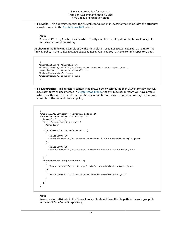• **Firewalls**– This directory contains the firewall configuration in JSON format. It includes the attributes as a document in the [CreateFirewallAPI](https://docs.aws.amazon.com/network-firewall/latest/APIReference/API_CreateFirewall.html) action.

#### **Note**

FirewallPolicyArn has a value which exactly matches the file path of the firewall policy file in the code commit repository.

As shown in the following example JSON file, this solution uses firewall-policy-1.json for the firewall policy in the ./firewallPolicies/firewall-policy-1.json commit repository path.

```
 {
"FirewallName": "Firewall-1",
"FirewallPolicyARN": "./firewallPolicies/firewall-policy-1.json",
"Description": "Network Firewall 1".
"DeleteProtection": true,
"SubnetChangeProtection": true
}
```
• **FirewallPolicies**– This directory contains the firewall policy configuration in JSON format which will have attributes as documented in [CreateFirewallPolicy](https://docs.aws.amazon.com/network-firewall/latest/APIReference/API_CreateFirewallPolicy.html), the attribute ResourceArn will have a value which exactly matches the file path of the rule group file in the code commit repository. Below is an example of the network firewall policy.

```
 {
"FirewallPolicyName": "Firewall-Policy-1",
"Description": "Firewall Policy 1",
"FirewallPolicy": {
  "StatelessDefaultActions": [
    "aws:drop"
   ],
  "StatelessRuleGroupReferences": [
    {
      "Priority": 30,
      "ResourceArn":"./ruleGroups/stateless-fwd-to-stateful.example.json"
    },
    {
      "Priority": 20,
      "ResourceArn":"./ruleGroups/stateless-pass-action.example.json"
    }
  ],
  "StatefulRuleGroupReferences":[
    {
      "ResourceArn":"./ruleGroups/stateful-domainblock.example.json"
    },
    {
      "ResourceArn":"./ruleGroups/suricata-rule-reference.json"
    }
   ]
  }
}
```
#### **Note**

ResourceArn attribute in the Firewall policy file should have the file path to the rule group file in the AWS CodeCommit repository.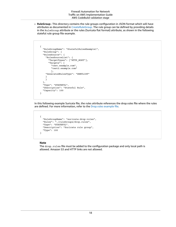• **RuleGroup**– This directory contains the rule groups configuration in JSON format which will have attributes as documented in [CreateRuleGroup](https://docs.aws.amazon.com/network-firewall/latest/APIReference/API_CreateRuleGroup.html). The rule group can be defined by providing details in the RuleGroup attribute or the rules (Suricata flat format) attribute, as shown in the following stateful rule group file example.

```
 {
  "RuleGroupName": "StatefulRulesExample1",
  "RuleGroup": {
  "RulesSource": {
    "RulesSourceList": {
      "TargetTypes": ["HTTP_HOST"],
      "Targets": [
        "test.example.com",
        "test2.example.com"
        ],
    "GeneratedRulesType": "DENYLIST"
    }
    }
  },
  "Type": "STATEFUL",
  "Description": "Stateful Rule",
  "Capacity": 100
}
```
In this following example Suricata file, the rules attribute references the drop.rules file where the rules are defined. For more information, refer to the [Drop.rules](https://rules.emergingthreats.net/open/suricata-5.0/rules/drop.rules) example file.

```
 {
  "RuleGroupName": "suricata-drop-rules",
  "Rules": "./ruleGroups/drop.rules",
  "Type": "STATEFUL".
  "Description": "Suricata rule group",
  "Type": 100
}
```
### **Note**

The drop. rules file must be added to the configuration package and only local path is allowed. Amazon S3 and HTTP links are not allowed.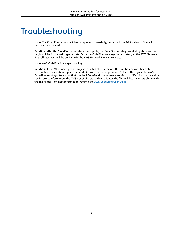# <span id="page-21-0"></span>Troubleshooting

**Issue**: The CloudFormation stack has completed successfully, but not all the AWS Network Firewall resources are created.

**Solution**: After the CloudFormation stack is complete, the CodePipeline stage created by the solution might still be in the **In-Progress** state. Once the CodePipeline stage is completed, all the AWS Network Firewall resources will be available in the AWS Network Firewall console.

**Issue**: AWS CodePipeline stage is failing.

**Solution**: If the AWS CodePipeline stage is in **Failed** state, it means this solution has not been able to complete the create or update network firewall resources operation. Refer to the logs in the AWS CodePipeline stages to ensure that the AWS CodeBuild stages are successful. If a JSON file is not valid or has incorrect information, the AWS CodeBuild stage that validates the files will list the errors along with the file names. For more information, refer to the AWS [CodeBuild](https://docs.aws.amazon.com/codebuild/latest/userguide/welcome.html) User Guide.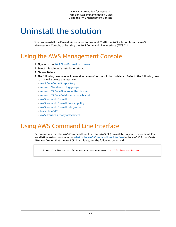# <span id="page-22-0"></span>Uninstall the solution

You can uninstall the Firewall Automation for Network Traffic on AWS solution from the AWS Management Console, or by using the AWS Command Line Interface (AWS CLI).

## <span id="page-22-1"></span>Using the AWS Management Console

- 1. Sign in to the AWS [CloudFormation](https://console.aws.amazon.com/cloudformation/home?) console.
- 2. Select this solution's installation stack.
- 3. Choose **Delete**.
- 4. The following resources will be retained even after the solution is deleted. Refer to the following links to manually delete the resources:
	- AWS [CodeCommit](https://docs.aws.amazon.com/codecommit/latest/userguide/how-to-delete-repository.html) repository
	- Amazon [CloudWatch](https://docs.aws.amazon.com/AmazonCloudWatch/latest/logs/Working-with-log-groups-and-streams.html) log groups
	- Amazon S3 [CodePipeline](https://docs.aws.amazon.com/AmazonS3/latest/userguide/delete-bucket.html) artifact bucket
	- Amazon S3 [CodeBuild](https://docs.aws.amazon.com/AmazonS3/latest/userguide/delete-bucket.html) source code bucket
	- AWS [Network](https://docs.aws.amazon.com/network-firewall/latest/developerguide/firewall-deleting.html) Firewall
	- AWS [Network](https://docs.aws.amazon.com/network-firewall/latest/developerguide/firewall-policy-deleting.html) Firewall firewall policy
	- AWS [Network](https://docs.aws.amazon.com/network-firewall/latest/developerguide/rule-group-deleting.html) Firewall rule groups
	- [Inspection](https://docs.aws.amazon.com/vpc/latest/userguide/working-with-vpcs.html#VPC_Deleting) VPC
	- AWS Transit Gateway [attachment](https://docs.aws.amazon.com/vpc/latest/tgw/tgw-vpc-attachments.html#delete-vpc-attachment)

### <span id="page-22-2"></span>Using AWS Command Line Interface

Determine whether the AWS Command Line Interface (AWS CLI) is available in your environment. For installation instructions, refer to What Is the AWS [Command](https://docs.aws.amazon.com/cli/latest/userguide/cli-chap-welcome.html) Line Interface in the *AWS CLI User Guide*. After confirming that the AWS CLI is available, run the following command.

\$ aws cloudformation delete-stack --stack-name *installation-stack-name*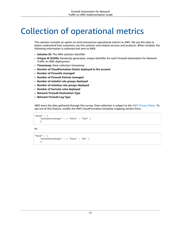# <span id="page-23-0"></span>Collection of operational metrics

This solution includes an option to send anonymous operational metrics to AWS. We use this data to better understand how customers use this solution and related services and products. When invoked, the following information is collected and sent to AWS:

- **Solution ID:** The AWS solution identifier
- **Unique ID (UUID):** Randomly generated, unique identifier for each Firewall Automation for Network Traffic on AWS deployment
- **Timestamp:** Data-collection timestamp
- **Number of CloudFormation Stacks deployed in the account**
- **Number of Firewalls managed**
- **Number of Firewall Policies managed**
- **Number of stateful rule groups deployed**
- **Number of stateless rule groups deployed**
- **Number of Suricata rules deployed**
- **Network Firewall Destination Type**
- **Network Firewall Log Type**

AWS owns the data gathered through this survey. Data collection is subject to the AWS [Privacy](http://aws.amazon.com/privacy/) Policy. To opt out of this feature, modify the AWS CloudFormation template mapping section from:

```
"Send" : {
    "AnonymousUsage" : { "Data" : "Yes" }
    },
```
to:

```
"Send" : {
    "AnonymousUsage" : { "Data" : "No" }
    },
```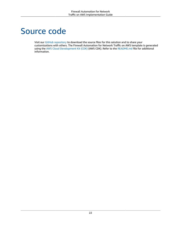## <span id="page-24-0"></span>Source code

Visit our GitHub [repository](https://github.com/awslabs/aws-network-firewall-deployment-automations-for-aws-transit-gateway) to download the source files for this solution and to share your customizations with others. The Firewall Automation for Network Traffic on AWS template is generated using the AWS Cloud [Development](http://aws.amazon.com/cdk/) Kit (CDK) (AWS CDK). Refer to the [README.md](https://github.com/awslabs/aws-network-firewall-deployment-automations-for-aws-transit-gateway/blob/master/README.md) file for additional information.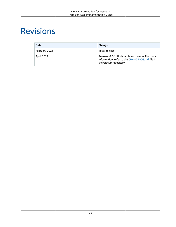# <span id="page-25-0"></span>Revisions

| <b>Date</b>       | Change                                                                                                                    |
|-------------------|---------------------------------------------------------------------------------------------------------------------------|
| February 2021     | Initial release                                                                                                           |
| <b>April 2021</b> | Release v1.0.1: Updated branch name. For more<br>information, refer to the CHANGELOG.md file in<br>the GitHub repository. |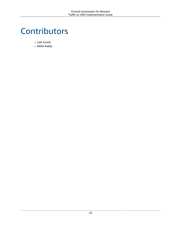# <span id="page-26-0"></span>Contributors

- Lalit Grover
- Nikhil Reddy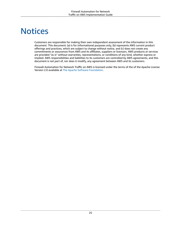# <span id="page-27-0"></span>**Notices**

Customers are responsible for making their own independent assessment of the information in this document. This document: (a) is for informational purposes only, (b) represents AWS current product offerings and practices, which are subject to change without notice, and (c) does not create any commitments or assurances from AWS and its affiliates, suppliers or licensors. AWS products or services are provided "as is" without warranties, representations, or conditions of any kind, whether express or implied. AWS responsibilities and liabilities to its customers are controlled by AWS agreements, and this document is not part of, nor does it modify, any agreement between AWS and its customers.

Firewall Automation for Network Traffic on AWS is licensed under the terms of the of the Apache License Version 2.0 available at The Apache Software [Foundation](https://www.apache.org/licenses/LICENSE-2.0).